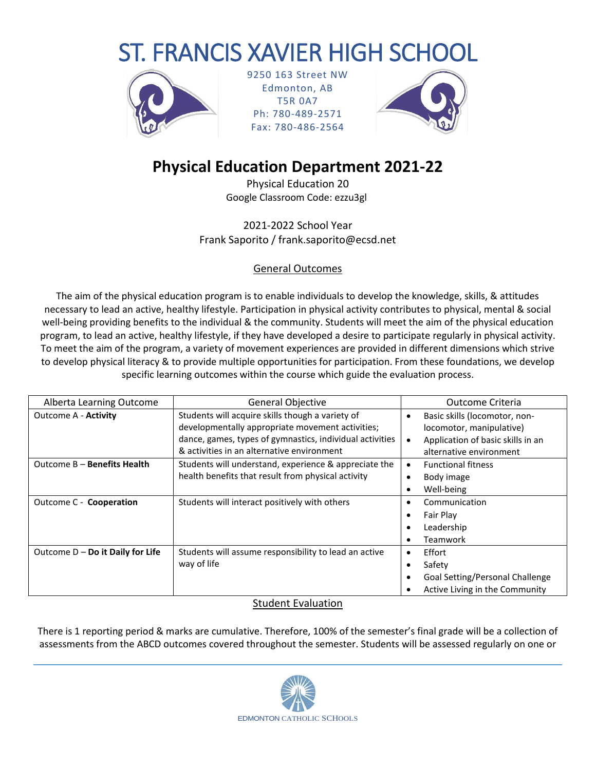# ST. FRANCIS XAVIER HIGH SCHOOL



9250 163 Street NW Edmonton, AB T5R 0A7 Ph: 780-489-2571 Fax: 780-486-2564



# **Physical Education Department 2021-22**

Physical Education 20 Google Classroom Code: ezzu3gl

2021-2022 School Year Frank Saporito / frank.saporito@ecsd.net

## General Outcomes

The aim of the physical education program is to enable individuals to develop the knowledge, skills, & attitudes necessary to lead an active, healthy lifestyle. Participation in physical activity contributes to physical, mental & social well-being providing benefits to the individual & the community. Students will meet the aim of the physical education program, to lead an active, healthy lifestyle, if they have developed a desire to participate regularly in physical activity. To meet the aim of the program, a variety of movement experiences are provided in different dimensions which strive to develop physical literacy & to provide multiple opportunities for participation. From these foundations, we develop specific learning outcomes within the course which guide the evaluation process.

| Alberta Learning Outcome           | <b>General Objective</b>                                 |           | Outcome Criteria                  |  |
|------------------------------------|----------------------------------------------------------|-----------|-----------------------------------|--|
| <b>Outcome A - Activity</b>        | Students will acquire skills though a variety of         | ٠         | Basic skills (locomotor, non-     |  |
|                                    | developmentally appropriate movement activities;         |           | locomotor, manipulative)          |  |
|                                    | dance, games, types of gymnastics, individual activities |           | Application of basic skills in an |  |
|                                    | & activities in an alternative environment               |           | alternative environment           |  |
| Outcome B - Benefits Health        | Students will understand, experience & appreciate the    | $\bullet$ | <b>Functional fitness</b>         |  |
|                                    | health benefits that result from physical activity       |           | Body image                        |  |
|                                    |                                                          |           | Well-being                        |  |
| Outcome C - Cooperation            | Students will interact positively with others            | $\bullet$ | Communication                     |  |
|                                    |                                                          |           | Fair Play                         |  |
|                                    |                                                          |           | Leadership                        |  |
|                                    |                                                          |           | Teamwork                          |  |
| Outcome $D - Do$ it Daily for Life | Students will assume responsibility to lead an active    | ٠         | Effort                            |  |
|                                    | way of life                                              |           | Safety                            |  |
|                                    |                                                          |           | Goal Setting/Personal Challenge   |  |
|                                    |                                                          |           | Active Living in the Community    |  |

#### Student Evaluation

There is 1 reporting period & marks are cumulative. Therefore, 100% of the semester's final grade will be a collection of assessments from the ABCD outcomes covered throughout the semester. Students will be assessed regularly on one or